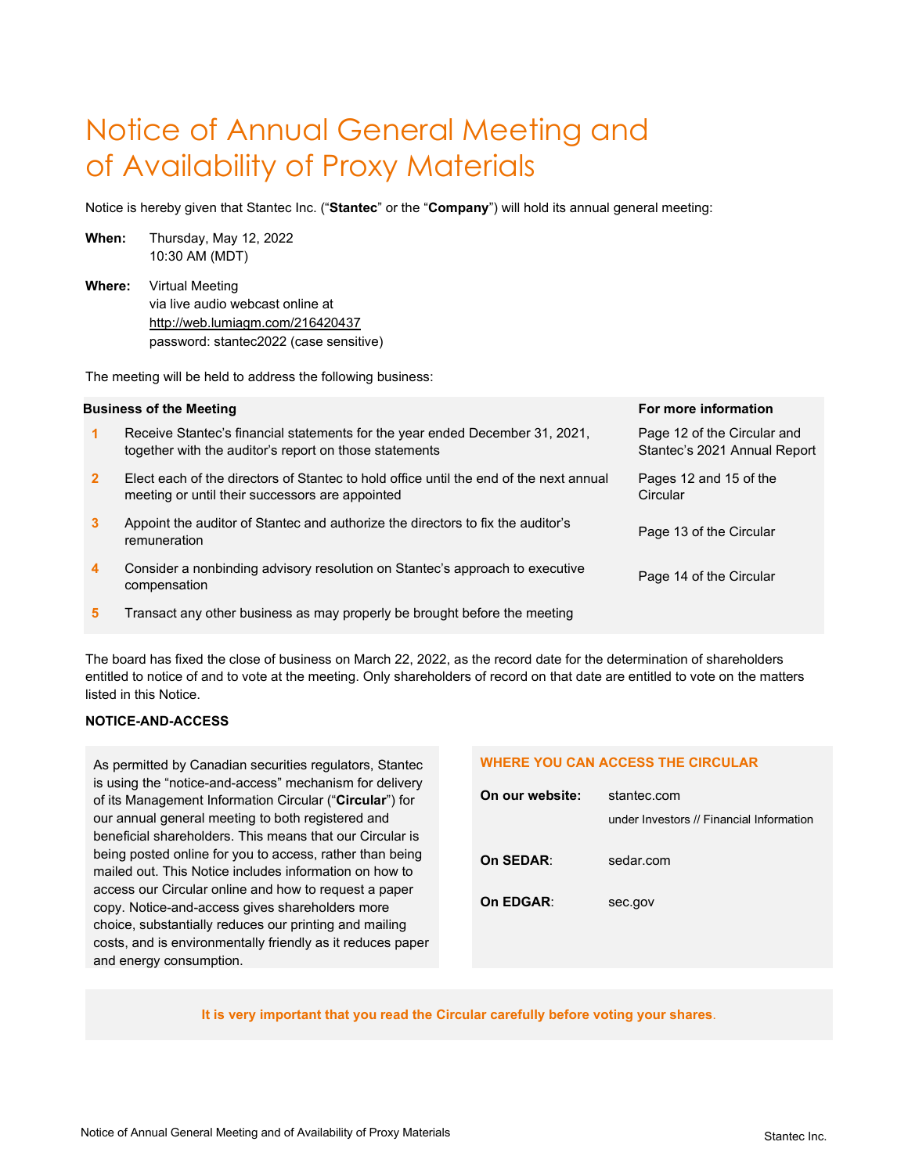# Notice of Annual General Meeting and of Availability of Proxy Materials

Notice is hereby given that Stantec Inc. ("**Stantec**" or the "**Company**") will hold its annual general meeting:

**When:** Thursday, May 12, 2022 10:30 AM (MDT)

**Where:** Virtual Meeting via live audio webcast online at <http://web.lumiagm.com/216420437> password: stantec2022 (case sensitive)

The meeting will be held to address the following business:

|                | <b>Business of the Meeting</b>                                                                                                            | For more information                                        |
|----------------|-------------------------------------------------------------------------------------------------------------------------------------------|-------------------------------------------------------------|
|                | Receive Stantec's financial statements for the year ended December 31, 2021,<br>together with the auditor's report on those statements    | Page 12 of the Circular and<br>Stantec's 2021 Annual Report |
| 2 <sup>1</sup> | Elect each of the directors of Stantec to hold office until the end of the next annual<br>meeting or until their successors are appointed | Pages 12 and 15 of the<br>Circular                          |
| 3              | Appoint the auditor of Stantec and authorize the directors to fix the auditor's<br>remuneration                                           | Page 13 of the Circular                                     |
| 4              | Consider a nonbinding advisory resolution on Stantec's approach to executive<br>compensation                                              | Page 14 of the Circular                                     |
| 5              | Transact any other business as may properly be brought before the meeting                                                                 |                                                             |

The board has fixed the close of business on March 22, 2022, as the record date for the determination of shareholders entitled to notice of and to vote at the meeting. Only shareholders of record on that date are entitled to vote on the matters listed in this Notice.

# **NOTICE-AND-ACCESS**

As permitted by Canadian securities regulators, Stantec is using the "notice-and-access" mechanism for delivery of its Management Information Circular ("**Circular**") for our annual general meeting to both registered and beneficial shareholders. This means that our Circular is being posted online for you to access, rather than being mailed out. This Notice includes information on how to access our Circular online and how to request a paper copy. Notice-and-access gives shareholders more choice, substantially reduces our printing and mailing costs, and is environmentally friendly as it reduces paper and energy consumption.

## **WHERE YOU CAN ACCESS THE CIRCULAR**

| On our website: | stantec.com<br>under Investors // Financial Information |
|-----------------|---------------------------------------------------------|
| On SEDAR:       | sedar.com                                               |
| On EDGAR:       | sec.gov                                                 |

**It is very important that you read the Circular carefully before voting your shares**.